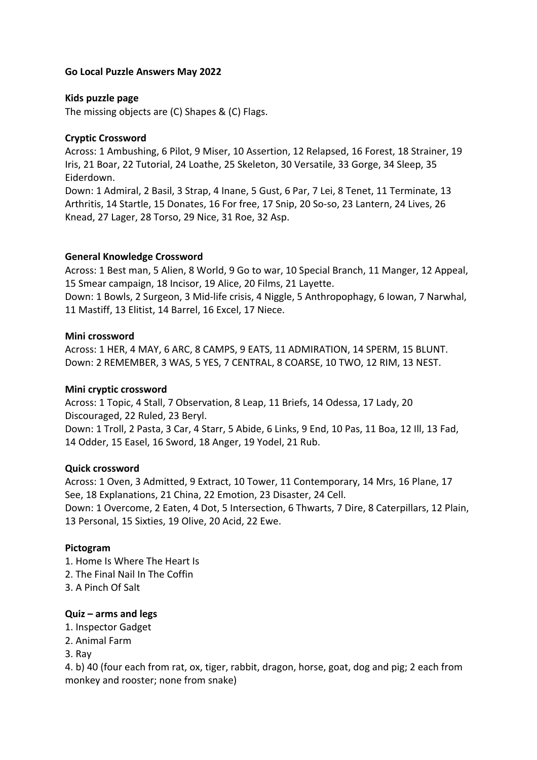#### **Go Local Puzzle Answers May 2022**

#### **Kids puzzle page**

The missing objects are (C) Shapes & (C) Flags.

### **Cryptic Crossword**

Across: 1 Ambushing, 6 Pilot, 9 Miser, 10 Assertion, 12 Relapsed, 16 Forest, 18 Strainer, 19 Iris, 21 Boar, 22 Tutorial, 24 Loathe, 25 Skeleton, 30 Versatile, 33 Gorge, 34 Sleep, 35 Eiderdown.

Down: 1 Admiral, 2 Basil, 3 Strap, 4 Inane, 5 Gust, 6 Par, 7 Lei, 8 Tenet, 11 Terminate, 13 Arthritis, 14 Startle, 15 Donates, 16 For free, 17 Snip, 20 So-so, 23 Lantern, 24 Lives, 26 Knead, 27 Lager, 28 Torso, 29 Nice, 31 Roe, 32 Asp.

### **General Knowledge Crossword**

Across: 1 Best man, 5 Alien, 8 World, 9 Go to war, 10 Special Branch, 11 Manger, 12 Appeal, 15 Smear campaign, 18 Incisor, 19 Alice, 20 Films, 21 Layette.

Down: 1 Bowls, 2 Surgeon, 3 Mid-life crisis, 4 Niggle, 5 Anthropophagy, 6 Iowan, 7 Narwhal, 11 Mastiff, 13 Elitist, 14 Barrel, 16 Excel, 17 Niece.

#### **Mini crossword**

Across: 1 HER, 4 MAY, 6 ARC, 8 CAMPS, 9 EATS, 11 ADMIRATION, 14 SPERM, 15 BLUNT. Down: 2 REMEMBER, 3 WAS, 5 YES, 7 CENTRAL, 8 COARSE, 10 TWO, 12 RIM, 13 NEST.

#### **Mini cryptic crossword**

Across: 1 Topic, 4 Stall, 7 Observation, 8 Leap, 11 Briefs, 14 Odessa, 17 Lady, 20 Discouraged, 22 Ruled, 23 Beryl.

Down: 1 Troll, 2 Pasta, 3 Car, 4 Starr, 5 Abide, 6 Links, 9 End, 10 Pas, 11 Boa, 12 Ill, 13 Fad, 14 Odder, 15 Easel, 16 Sword, 18 Anger, 19 Yodel, 21 Rub.

### **Quick crossword**

Across: 1 Oven, 3 Admitted, 9 Extract, 10 Tower, 11 Contemporary, 14 Mrs, 16 Plane, 17 See, 18 Explanations, 21 China, 22 Emotion, 23 Disaster, 24 Cell. Down: 1 Overcome, 2 Eaten, 4 Dot, 5 Intersection, 6 Thwarts, 7 Dire, 8 Caterpillars, 12 Plain, 13 Personal, 15 Sixties, 19 Olive, 20 Acid, 22 Ewe.

### **Pictogram**

- 1. Home Is Where The Heart Is
- 2. The Final Nail In The Coffin
- 3. A Pinch Of Salt

### **Quiz – arms and legs**

- 1. Inspector Gadget
- 2. Animal Farm
- 3. Ray

4. b) 40 (four each from rat, ox, tiger, rabbit, dragon, horse, goat, dog and pig; 2 each from monkey and rooster; none from snake)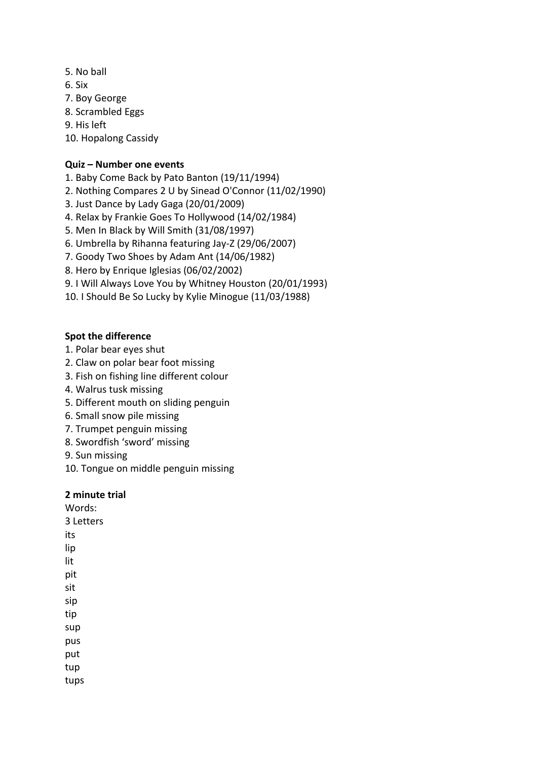- 5. No ball
- 6. Six
- 7. Boy George
- 8. Scrambled Eggs
- 9. His left
- 10. Hopalong Cassidy

### **Quiz – Number one events**

- 1. Baby Come Back by Pato Banton (19/11/1994)
- 2. Nothing Compares 2 U by Sinead O'Connor (11/02/1990)
- 3. Just Dance by Lady Gaga (20/01/2009)
- 4. Relax by Frankie Goes To Hollywood (14/02/1984)
- 5. Men In Black by Will Smith (31/08/1997)
- 6. Umbrella by Rihanna featuring Jay-Z (29/06/2007)
- 7. Goody Two Shoes by Adam Ant (14/06/1982)
- 8. Hero by Enrique Iglesias (06/02/2002)
- 9. I Will Always Love You by Whitney Houston (20/01/1993)
- 10. I Should Be So Lucky by Kylie Minogue (11/03/1988)

### **Spot the difference**

- 1. Polar bear eyes shut
- 2. Claw on polar bear foot missing
- 3. Fish on fishing line different colour
- 4. Walrus tusk missing
- 5. Different mouth on sliding penguin
- 6. Small snow pile missing
- 7. Trumpet penguin missing
- 8. Swordfish 'sword' missing
- 9. Sun missing
- 10. Tongue on middle penguin missing

#### **2 minute trial**

Words: 3 Letters its lip lit pit sit sip tip sup pus put tup tups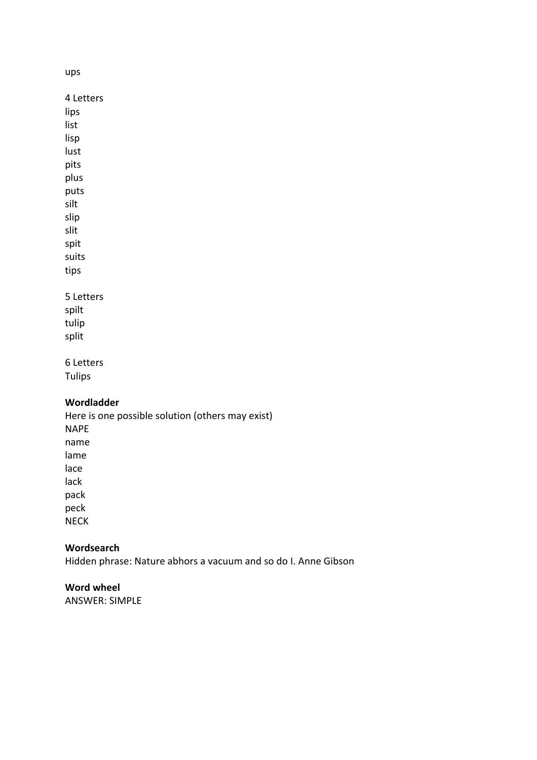ups

4 Letters lips list lisp lust pits plus puts silt slip slit spit suits tips 5 Letters spilt tulip

split

## 6 Letters

Tulips

# **Wordladder**

Here is one possible solution (others may exist) NAPE name lame lace lack pack

peck NECK

### **Wordsearch**

Hidden phrase: Nature abhors a vacuum and so do I. Anne Gibson

## **Word wheel**

ANSWER: SIMPLE